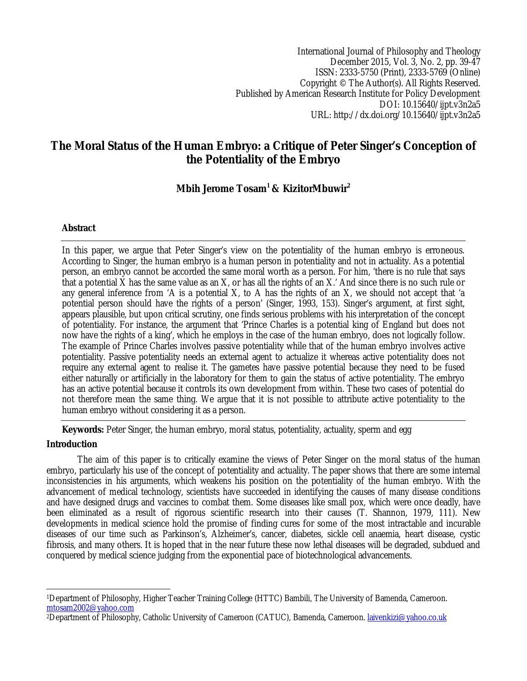International Journal of Philosophy and Theology December 2015, Vol. 3, No. 2, pp. 39-47 ISSN: 2333-5750 (Print), 2333-5769 (Online) Copyright © The Author(s). All Rights Reserved. Published by American Research Institute for Policy Development DOI: 10.15640/ijpt.v3n2a5 URL: http://dx.doi.org/10.15640/ijpt.v3n2a5

# **The Moral Status of the Human Embryo: a Critique of Peter Singer's Conception of the Potentiality of the Embryo**

**Mbih Jerome Tosam<sup>1</sup> & KizitorMbuwir<sup>2</sup>**

# **Abstract**

In this paper, we argue that Peter Singer's view on the potentiality of the human embryo is erroneous. According to Singer, the human embryo is a human person in potentiality and not in actuality. As a potential person, an embryo cannot be accorded the same moral worth as a person. For him, 'there is no rule that says that a potential X has the same value as an X, or has all the rights of an X.' And since there is no such rule or any general inference from 'A is a potential X, to A has the rights of an X, we should not accept that 'a potential person should have the rights of a person' (Singer, 1993, 153). Singer's argument, at first sight, appears plausible, but upon critical scrutiny, one finds serious problems with his interpretation of the concept of potentiality. For instance, the argument that 'Prince Charles is a potential king of England but does not now have the rights of a king', which he employs in the case of the human embryo, does not logically follow. The example of Prince Charles involves passive potentiality while that of the human embryo involves active potentiality. Passive potentiality needs an external agent to actualize it whereas active potentiality does not require any external agent to realise it. The gametes have passive potential because they need to be fused either naturally or artificially in the laboratory for them to gain the status of active potentiality. The embryo has an active potential because it controls its own development from within. These two cases of potential do not therefore mean the same thing. We argue that it is not possible to attribute active potentiality to the human embryo without considering it as a person.

**Keywords:** Peter Singer, the human embryo, moral status, potentiality, actuality, sperm and egg

# **Introduction**

The aim of this paper is to critically examine the views of Peter Singer on the moral status of the human embryo, particularly his use of the concept of potentiality and actuality. The paper shows that there are some internal inconsistencies in his arguments, which weakens his position on the potentiality of the human embryo. With the advancement of medical technology, scientists have succeeded in identifying the causes of many disease conditions and have designed drugs and vaccines to combat them. Some diseases like small pox, which were once deadly, have been eliminated as a result of rigorous scientific research into their causes (T. Shannon, 1979, 111). New developments in medical science hold the promise of finding cures for some of the most intractable and incurable diseases of our time such as Parkinson's, Alzheimer's, cancer, diabetes, sickle cell anaemia, heart disease, cystic fibrosis, and many others. It is hoped that in the near future these now lethal diseases will be degraded, subdued and conquered by medical science judging from the exponential pace of biotechnological advancements.

 $\overline{\phantom{a}}$ <sup>1</sup>Department of Philosophy, Higher Teacher Training College (HTTC) Bambili, The University of Bamenda, Cameroon. mtosam2002@yahoo.com

<sup>2</sup>Department of Philosophy, Catholic University of Cameroon (CATUC), Bamenda, Cameroon. laivenkizi@yahoo.co.uk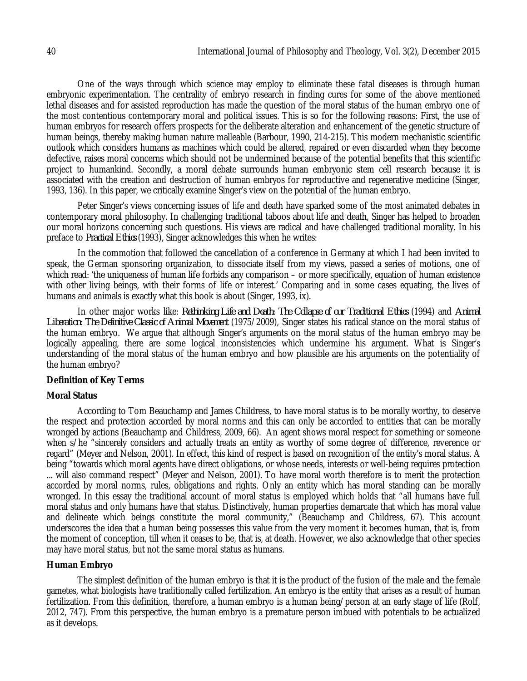One of the ways through which science may employ to eliminate these fatal diseases is through human embryonic experimentation. The centrality of embryo research in finding cures for some of the above mentioned lethal diseases and for assisted reproduction has made the question of the moral status of the human embryo one of the most contentious contemporary moral and political issues. This is so for the following reasons: First, the use of human embryos for research offers prospects for the deliberate alteration and enhancement of the genetic structure of human beings, thereby making human nature malleable (Barbour, 1990, 214-215). This modern mechanistic scientific outlook which considers humans as machines which could be altered, repaired or even discarded when they become defective, raises moral concerns which should not be undermined because of the potential benefits that this scientific project to humankind. Secondly, a moral debate surrounds human embryonic stem cell research because it is associated with the creation and destruction of human embryos for reproductive and regenerative medicine (Singer, 1993, 136). In this paper, we critically examine Singer's view on the potential of the human embryo.

Peter Singer's views concerning issues of life and death have sparked some of the most animated debates in contemporary moral philosophy. In challenging traditional taboos about life and death, Singer has helped to broaden our moral horizons concerning such questions. His views are radical and have challenged traditional morality. In his preface to *Practical Ethics* (1993)*,* Singer acknowledges this when he writes:

In the commotion that followed the cancellation of a conference in Germany at which I had been invited to speak, the German sponsoring organization, to dissociate itself from my views, passed a series of motions, one of which read: 'the uniqueness of human life forbids any comparison – or more specifically, equation of human existence with other living beings, with their forms of life or interest.' Comparing and in some cases equating, the lives of humans and animals is exactly what this book is about (Singer, 1993, ix).

In other major works like: *Rethinking Life and Death: The Collapse of our Traditional Ethics* (1994) and *Animal Liberation: The Definitive Classic of Animal Movement* (1975/2009), Singer states his radical stance on the moral status of the human embryo. We argue that although Singer's arguments on the moral status of the human embryo may be logically appealing, there are some logical inconsistencies which undermine his argument. What is Singer's understanding of the moral status of the human embryo and how plausible are his arguments on the potentiality of the human embryo?

## **Definition of Key Terms**

## **Moral Status**

According to Tom Beauchamp and James Childress, to have moral status is to be morally worthy, to deserve the respect and protection accorded by moral norms and this can only be accorded to entities that can be morally wronged by actions (Beauchamp and Childress, 2009, 66). An agent shows moral respect for something or someone when s/he "sincerely considers and actually treats an entity as worthy of some degree of difference, reverence or regard" (Meyer and Nelson, 2001). In effect, this kind of respect is based on recognition of the entity's moral status. A being "towards which moral agents have direct obligations, or whose needs, interests or well-being requires protection ... will also command respect" (Meyer and Nelson, 2001). To have moral worth therefore is to merit the protection accorded by moral norms, rules, obligations and rights. Only an entity which has moral standing can be morally wronged. In this essay the traditional account of moral status is employed which holds that "all humans have full moral status and only humans have that status. Distinctively, human properties demarcate that which has moral value and delineate which beings constitute the moral community," (Beauchamp and Childress, 67). This account underscores the idea that a human being possesses this value from the very moment it becomes human, that is, from the moment of conception, till when it ceases to be, that is, at death. However, we also acknowledge that other species may have moral status, but not the same moral status as humans.

## **Human Embryo**

The simplest definition of the human embryo is that it is the product of the fusion of the male and the female gametes, what biologists have traditionally called fertilization. An embryo is the entity that arises as a result of human fertilization. From this definition, therefore, a human embryo is a human being/person at an early stage of life (Rolf, 2012, 747). From this perspective, the human embryo is a premature person imbued with potentials to be actualized as it develops.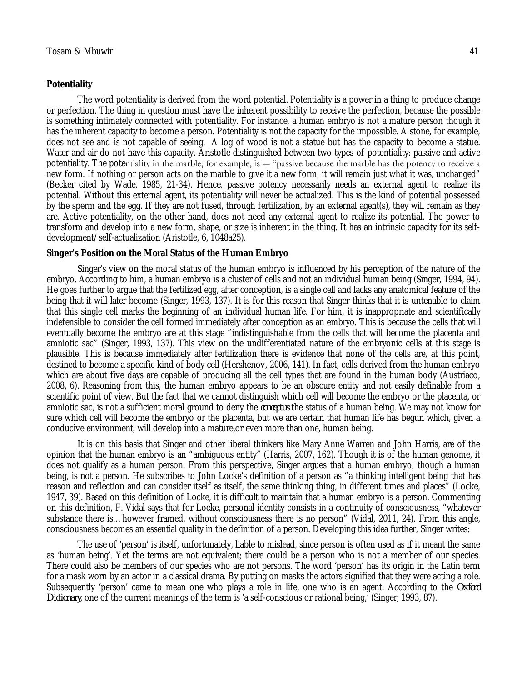## **Potentiality**

The word potentiality is derived from the word potential. Potentiality is a power in a thing to produce change or perfection. The thing in question must have the inherent possibility to receive the perfection, because the possible is something intimately connected with potentiality. For instance, a human embryo is not a mature person though it has the inherent capacity to become a person. Potentiality is not the capacity for the impossible. A stone, for example, does not see and is not capable of seeing. A log of wood is not a statue but has the capacity to become a statue. Water and air do not have this capacity. Aristotle distinguished between two types of potentiality: passive and active potentiality. The potentiality in the marble, for example, is ― "passive because the marble has the potency to receive a new form. If nothing or person acts on the marble to give it a new form, it will remain just what it was, unchanged" (Becker cited by Wade, 1985, 21-34). Hence, passive potency necessarily needs an external agent to realize its potential. Without this external agent, its potentiality will never be actualized. This is the kind of potential possessed by the sperm and the egg. If they are not fused, through fertilization, by an external agent(s), they will remain as they are. Active potentiality, on the other hand, does not need any external agent to realize its potential. The power to transform and develop into a new form, shape, or size is inherent in the thing. It has an intrinsic capacity for its selfdevelopment/self-actualization (Aristotle, 6, 1048a25).

### **Singer's Position on the Moral Status of the Human Embryo**

Singer's view on the moral status of the human embryo is influenced by his perception of the nature of the embryo. According to him, a human embryo is a cluster of cells and not an individual human being (Singer, 1994, 94). He goes further to argue that the fertilized egg, after conception, is a single cell and lacks any anatomical feature of the being that it will later become (Singer, 1993, 137). It is for this reason that Singer thinks that it is untenable to claim that this single cell marks the beginning of an individual human life. For him, it is inappropriate and scientifically indefensible to consider the cell formed immediately after conception as an embryo. This is because the cells that will eventually become the embryo are at this stage "indistinguishable from the cells that will become the placenta and amniotic sac" (Singer, 1993, 137). This view on the undifferentiated nature of the embryonic cells at this stage is plausible. This is because immediately after fertilization there is evidence that none of the cells are, at this point, destined to become a specific kind of body cell (Hershenov, 2006, 141). In fact, cells derived from the human embryo which are about five days are capable of producing all the cell types that are found in the human body (Austriaco, 2008, 6). Reasoning from this, the human embryo appears to be an obscure entity and not easily definable from a scientific point of view. But the fact that we cannot distinguish which cell will become the embryo or the placenta, or amniotic sac, is not a sufficient moral ground to deny the *conceptus* the status of a human being. We may not know for sure which cell will become the embryo or the placenta, but we are certain that human life has begun which, given a conducive environment, will develop into a mature,or even more than one, human being.

It is on this basis that Singer and other liberal thinkers like Mary Anne Warren and John Harris, are of the opinion that the human embryo is an "ambiguous entity" (Harris, 2007, 162). Though it is of the human genome, it does not qualify as a human person. From this perspective, Singer argues that a human embryo, though a human being, is not a person. He subscribes to John Locke's definition of a person as "a thinking intelligent being that has reason and reflection and can consider itself as itself, the same thinking thing, in different times and places" (Locke, 1947, 39). Based on this definition of Locke, it is difficult to maintain that a human embryo is a person. Commenting on this definition, F. Vidal says that for Locke, personal identity consists in a continuity of consciousness, "whatever substance there is…however framed, without consciousness there is no person" (Vidal, 2011, 24). From this angle, consciousness becomes an essential quality in the definition of a person. Developing this idea further, Singer writes:

The use of 'person' is itself, unfortunately, liable to mislead, since person is often used as if it meant the same as 'human being'. Yet the terms are not equivalent; there could be a person who is not a member of our species. There could also be members of our species who are not persons. The word 'person' has its origin in the Latin term for a mask worn by an actor in a classical drama. By putting on masks the actors signified that they were acting a role. Subsequently 'person' came to mean one who plays a role in life, one who is an agent. According to the *Oxford Dictionary*, one of the current meanings of the term is 'a self-conscious or rational being,' (Singer, 1993, 87).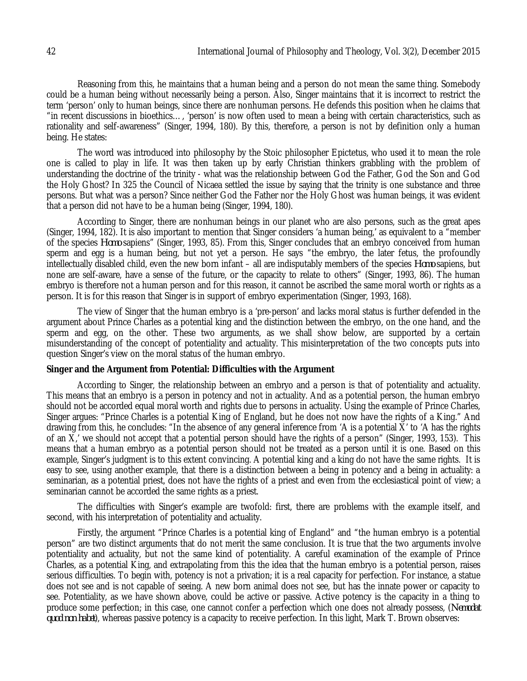Reasoning from this, he maintains that a human being and a person do not mean the same thing. Somebody could be a human being without necessarily being a person. Also, Singer maintains that it is incorrect to restrict the term 'person' only to human beings, since there are nonhuman persons. He defends this position when he claims that "in recent discussions in bioethics…, 'person' is now often used to mean a being with certain characteristics, such as rationality and self-awareness" (Singer, 1994, 180). By this, therefore, a person is not by definition only a human being. He states:

The word was introduced into philosophy by the Stoic philosopher Epictetus, who used it to mean the role one is called to play in life. It was then taken up by early Christian thinkers grabbling with the problem of understanding the doctrine of the trinity - what was the relationship between God the Father, God the Son and God the Holy Ghost? In 325 the Council of Nicaea settled the issue by saying that the trinity is one substance and three persons. But what was a person? Since neither God the Father nor the Holy Ghost was human beings, it was evident that a person did not have to be a human being (Singer, 1994, 180).

According to Singer, there are nonhuman beings in our planet who are also persons, such as the great apes (Singer, 1994, 182). It is also important to mention that Singer considers 'a human being,' as equivalent to a "member of the species *Homo* sapiens" (Singer, 1993, 85). From this, Singer concludes that an embryo conceived from human sperm and egg is a human being, but not yet a person. He says "the embryo, the later fetus, the profoundly intellectually disabled child, even the new born infant – all are indisputably members of the species *Homo* sapiens, but none are self-aware, have a sense of the future, or the capacity to relate to others" (Singer, 1993, 86). The human embryo is therefore not a human person and for this reason, it cannot be ascribed the same moral worth or rights as a person. It is for this reason that Singer is in support of embryo experimentation (Singer, 1993, 168).

The view of Singer that the human embryo is a 'pre-person' and lacks moral status is further defended in the argument about Prince Charles as a potential king and the distinction between the embryo, on the one hand, and the sperm and egg, on the other. These two arguments, as we shall show below, are supported by a certain misunderstanding of the concept of potentiality and actuality. This misinterpretation of the two concepts puts into question Singer's view on the moral status of the human embryo.

## **Singer and the Argument from Potential: Difficulties with the Argument**

According to Singer, the relationship between an embryo and a person is that of potentiality and actuality. This means that an embryo is a person in potency and not in actuality. And as a potential person, the human embryo should not be accorded equal moral worth and rights due to persons in actuality. Using the example of Prince Charles, Singer argues: "Prince Charles is a potential King of England, but he does not now have the rights of a King." And drawing from this, he concludes: "In the absence of any general inference from 'A is a potential X' to 'A has the rights of an X,' we should not accept that a potential person should have the rights of a person" (Singer, 1993, 153). This means that a human embryo as a potential person should not be treated as a person until it is one. Based on this example, Singer's judgment is to this extent convincing. A potential king and a king do not have the same rights. It is easy to see, using another example, that there is a distinction between a being in potency and a being in actuality: a seminarian, as a potential priest, does not have the rights of a priest and even from the ecclesiastical point of view; a seminarian cannot be accorded the same rights as a priest.

The difficulties with Singer's example are twofold: first, there are problems with the example itself, and second, with his interpretation of potentiality and actuality.

Firstly, the argument "Prince Charles is a potential king of England" and "the human embryo is a potential person" are two distinct arguments that do not merit the same conclusion. It is true that the two arguments involve potentiality and actuality, but not the same kind of potentiality. A careful examination of the example of Prince Charles, as a potential King, and extrapolating from this the idea that the human embryo is a potential person, raises serious difficulties. To begin with, potency is not a privation; it is a real capacity for perfection. For instance, a statue does not see and is not capable of seeing. A new born animal does not see, but has the innate power or capacity to see. Potentiality, as we have shown above, could be active or passive. Active potency is the capacity in a thing to produce some perfection; in this case, one cannot confer a perfection which one does not already possess, (*Nemodat quod non habet*), whereas passive potency is a capacity to receive perfection. In this light, Mark T. Brown observes: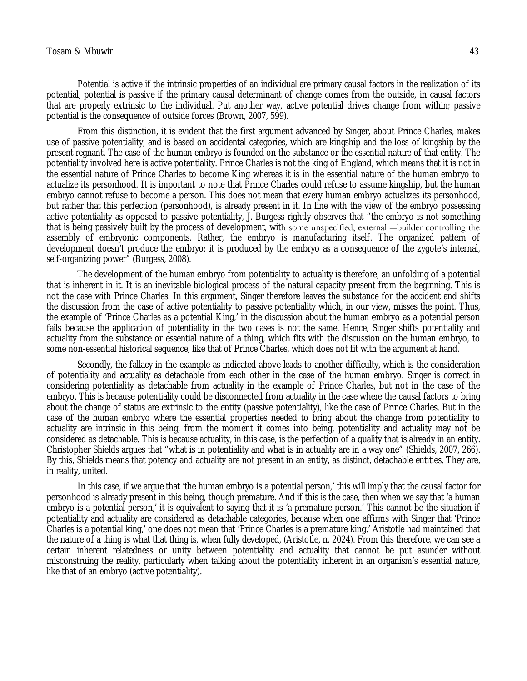#### Tosam & Mbuwir 43

Potential is active if the intrinsic properties of an individual are primary causal factors in the realization of its potential; potential is passive if the primary causal determinant of change comes from the outside, in causal factors that are properly extrinsic to the individual. Put another way, active potential drives change from within; passive potential is the consequence of outside forces (Brown, 2007, 599).

From this distinction, it is evident that the first argument advanced by Singer, about Prince Charles, makes use of passive potentiality, and is based on accidental categories, which are kingship and the loss of kingship by the present regnant. The case of the human embryo is founded on the substance or the essential nature of that entity. The potentiality involved here is active potentiality. Prince Charles is not the king of England, which means that it is not in the essential nature of Prince Charles to become King whereas it is in the essential nature of the human embryo to actualize its personhood. It is important to note that Prince Charles could refuse to assume kingship, but the human embryo cannot refuse to become a person. This does not mean that every human embryo actualizes its personhood, but rather that this perfection (personhood), is already present in it. In line with the view of the embryo possessing active potentiality as opposed to passive potentiality, J. Burgess rightly observes that "the embryo is not something that is being passively built by the process of development, with some unspecified, external ―builder controlling the assembly of embryonic components. Rather, the embryo is manufacturing itself. The organized pattern of development doesn't produce the embryo; it is produced by the embryo as a consequence of the zygote's internal, self-organizing power" (Burgess, 2008).

The development of the human embryo from potentiality to actuality is therefore, an unfolding of a potential that is inherent in it. It is an inevitable biological process of the natural capacity present from the beginning. This is not the case with Prince Charles. In this argument, Singer therefore leaves the substance for the accident and shifts the discussion from the case of active potentiality to passive potentiality which, in our view, misses the point. Thus, the example of 'Prince Charles as a potential King,' in the discussion about the human embryo as a potential person fails because the application of potentiality in the two cases is not the same. Hence, Singer shifts potentiality and actuality from the substance or essential nature of a thing, which fits with the discussion on the human embryo, to some non-essential historical sequence, like that of Prince Charles, which does not fit with the argument at hand.

Secondly, the fallacy in the example as indicated above leads to another difficulty, which is the consideration of potentiality and actuality as detachable from each other in the case of the human embryo. Singer is correct in considering potentiality as detachable from actuality in the example of Prince Charles, but not in the case of the embryo. This is because potentiality could be disconnected from actuality in the case where the causal factors to bring about the change of status are extrinsic to the entity (passive potentiality), like the case of Prince Charles. But in the case of the human embryo where the essential properties needed to bring about the change from potentiality to actuality are intrinsic in this being, from the moment it comes into being, potentiality and actuality may not be considered as detachable. This is because actuality, in this case, is the perfection of a quality that is already in an entity. Christopher Shields argues that "what is in potentiality and what is in actuality are in a way one" (Shields, 2007, 266). By this, Shields means that potency and actuality are not present in an entity, as distinct, detachable entities. They are, in reality, united.

In this case, if we argue that 'the human embryo is a potential person,' this will imply that the causal factor for personhood is already present in this being, though premature. And if this is the case, then when we say that 'a human embryo is a potential person,' it is equivalent to saying that it is 'a premature person.' This cannot be the situation if potentiality and actuality are considered as detachable categories, because when one affirms with Singer that 'Prince Charles is a potential king,' one does not mean that 'Prince Charles is a premature king.' Aristotle had maintained that the nature of a thing is what that thing is, when fully developed, (Aristotle*,* n. 2024). From this therefore, we can see a certain inherent relatedness or unity between potentiality and actuality that cannot be put asunder without misconstruing the reality, particularly when talking about the potentiality inherent in an organism's essential nature, like that of an embryo (active potentiality).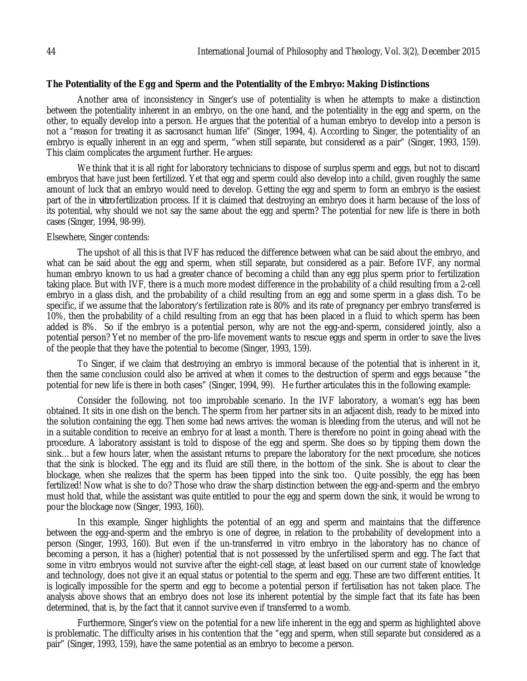## **The Potentiality of the Egg and Sperm and the Potentiality of the Embryo: Making Distinctions**

Another area of inconsistency in Singer's use of potentiality is when he attempts to make a distinction between the potentiality inherent in an embryo, on the one hand, and the potentiality in the egg and sperm, on the other, to equally develop into a person. He argues that the potential of a human embryo to develop into a person is not a "reason for treating it as sacrosanct human life" (Singer, 1994, 4). According to Singer, the potentiality of an embryo is equally inherent in an egg and sperm, "when still separate, but considered as a pair" (Singer, 1993, 159). This claim complicates the argument further. He argues:

We think that it is all right for laboratory technicians to dispose of surplus sperm and eggs, but not to discard embryos that have just been fertilized. Yet that egg and sperm could also develop into a child, given roughly the same amount of luck that an embryo would need to develop. Getting the egg and sperm to form an embryo is the easiest part of the in *vitro* fertilization process. If it is claimed that destroying an embryo does it harm because of the loss of its potential, why should we not say the same about the egg and sperm? The potential for new life is there in both cases (Singer, 1994, 98-99).

## Elsewhere, Singer contends:

The upshot of all this is that IVF has reduced the difference between what can be said about the embryo, and what can be said about the egg and sperm, when still separate, but considered as a pair. Before IVF, any normal human embryo known to us had a greater chance of becoming a child than any egg plus sperm prior to fertilization taking place. But with IVF, there is a much more modest difference in the probability of a child resulting from a 2-cell embryo in a glass dish, and the probability of a child resulting from an egg and some sperm in a glass dish. To be specific, if we assume that the laboratory's fertilization rate is 80% and its rate of pregnancy per embryo transferred is 10%, then the probability of a child resulting from an egg that has been placed in a fluid to which sperm has been added is 8%. So if the embryo is a potential person, why are not the egg-and-sperm, considered jointly, also a potential person? Yet no member of the pro-life movement wants to rescue eggs and sperm in order to save the lives of the people that they have the potential to become (Singer, 1993, 159).

To Singer, if we claim that destroying an embryo is immoral because of the potential that is inherent in it, then the same conclusion could also be arrived at when it comes to the destruction of sperm and eggs because "the potential for new life is there in both cases" (Singer, 1994, 99). He further articulates this in the following example:

Consider the following, not too improbable scenario. In the IVF laboratory, a woman's egg has been obtained. It sits in one dish on the bench. The sperm from her partner sits in an adjacent dish, ready to be mixed into the solution containing the egg. Then some bad news arrives: the woman is bleeding from the uterus, and will not be in a suitable condition to receive an embryo for at least a month. There is therefore no point in going ahead with the procedure. A laboratory assistant is told to dispose of the egg and sperm. She does so by tipping them down the sink…but a few hours later, when the assistant returns to prepare the laboratory for the next procedure, she notices that the sink is blocked. The egg and its fluid are still there, in the bottom of the sink. She is about to clear the blockage, when she realizes that the sperm has been tipped into the sink too. Quite possibly, the egg has been fertilized! Now what is she to do? Those who draw the sharp distinction between the egg-and-sperm and the embryo must hold that, while the assistant was quite entitled to pour the egg and sperm down the sink, it would be wrong to pour the blockage now (Singer, 1993, 160).

In this example, Singer highlights the potential of an egg and sperm and maintains that the difference between the egg-and-sperm and the embryo is one of degree, in relation to the probability of development into a person (Singer, 1993, 160). But even if the un-transferred in vitro embryo in the laboratory has no chance of becoming a person, it has a (higher) potential that is not possessed by the unfertilised sperm and egg. The fact that some in vitro embryos would not survive after the eight-cell stage, at least based on our current state of knowledge and technology, does not give it an equal status or potential to the sperm and egg. These are two different entities. It is logically impossible for the sperm and egg to become a potential person if fertilisation has not taken place. The analysis above shows that an embryo does not lose its inherent potential by the simple fact that its fate has been determined, that is, by the fact that it cannot survive even if transferred to a womb.

Furthermore, Singer's view on the potential for a new life inherent in the egg and sperm as highlighted above is problematic. The difficulty arises in his contention that the "egg and sperm, when still separate but considered as a pair" (Singer, 1993, 159), have the same potential as an embryo to become a person.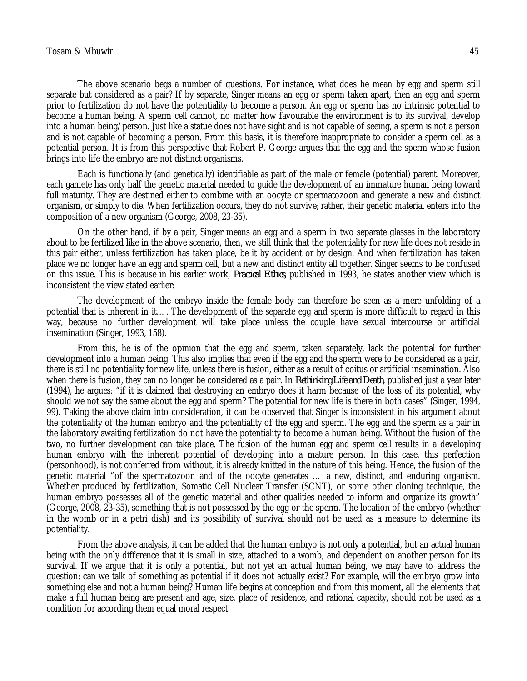## Tosam & Mbuwir 45

The above scenario begs a number of questions. For instance, what does he mean by egg and sperm still separate but considered as a pair? If by separate, Singer means an egg or sperm taken apart, then an egg and sperm prior to fertilization do not have the potentiality to become a person. An egg or sperm has no intrinsic potential to become a human being. A sperm cell cannot, no matter how favourable the environment is to its survival, develop into a human being/person. Just like a statue does not have sight and is not capable of seeing, a sperm is not a person and is not capable of becoming a person. From this basis, it is therefore inappropriate to consider a sperm cell as a potential person. It is from this perspective that Robert P. George argues that the egg and the sperm whose fusion brings into life the embryo are not distinct organisms.

Each is functionally (and genetically) identifiable as part of the male or female (potential) parent. Moreover, each gamete has only half the genetic material needed to guide the development of an immature human being toward full maturity. They are destined either to combine with an oocyte or spermatozoon and generate a new and distinct organism, or simply to die. When fertilization occurs, they do not survive; rather, their genetic material enters into the composition of a new organism (George, 2008, 23-35).

On the other hand, if by a pair, Singer means an egg and a sperm in two separate glasses in the laboratory about to be fertilized like in the above scenario, then, we still think that the potentiality for new life does not reside in this pair either, unless fertilization has taken place, be it by accident or by design. And when fertilization has taken place we no longer have an egg and sperm cell, but a new and distinct entity all together. Singer seems to be confused on this issue. This is because in his earlier work, *Practical Ethics,* published in 1993, he states another view which is inconsistent the view stated earlier:

The development of the embryo inside the female body can therefore be seen as a mere unfolding of a potential that is inherent in it…. The development of the separate egg and sperm is more difficult to regard in this way, because no further development will take place unless the couple have sexual intercourse or artificial insemination (Singer, 1993, 158).

From this, he is of the opinion that the egg and sperm, taken separately, lack the potential for further development into a human being. This also implies that even if the egg and the sperm were to be considered as a pair, there is still no potentiality for new life, unless there is fusion, either as a result of coitus or artificial insemination. Also when there is fusion, they can no longer be considered as a pair. In *Rethinking Life and Death,* published just a year later (1994), he argues: "if it is claimed that destroying an embryo does it harm because of the loss of its potential, why should we not say the same about the egg and sperm? The potential for new life is there in both cases" (Singer, 1994, 99). Taking the above claim into consideration, it can be observed that Singer is inconsistent in his argument about the potentiality of the human embryo and the potentiality of the egg and sperm. The egg and the sperm as a pair in the laboratory awaiting fertilization do not have the potentiality to become a human being. Without the fusion of the two, no further development can take place. The fusion of the human egg and sperm cell results in a developing human embryo with the inherent potential of developing into a mature person. In this case, this perfection (personhood), is not conferred from without, it is already knitted in the nature of this being. Hence, the fusion of the genetic material "of the spermatozoon and of the oocyte generates … a new, distinct, and enduring organism. Whether produced by fertilization, Somatic Cell Nuclear Transfer (SCNT), or some other cloning technique, the human embryo possesses all of the genetic material and other qualities needed to inform and organize its growth" (George, 2008, 23-35), something that is not possessed by the egg or the sperm. The location of the embryo (whether in the womb or in a petri dish) and its possibility of survival should not be used as a measure to determine its potentiality.

From the above analysis, it can be added that the human embryo is not only a potential, but an actual human being with the only difference that it is small in size, attached to a womb, and dependent on another person for its survival. If we argue that it is only a potential, but not yet an actual human being, we may have to address the question: can we talk of something as potential if it does not actually exist? For example, will the embryo grow into something else and not a human being? Human life begins at conception and from this moment, all the elements that make a full human being are present and age, size, place of residence, and rational capacity, should not be used as a condition for according them equal moral respect.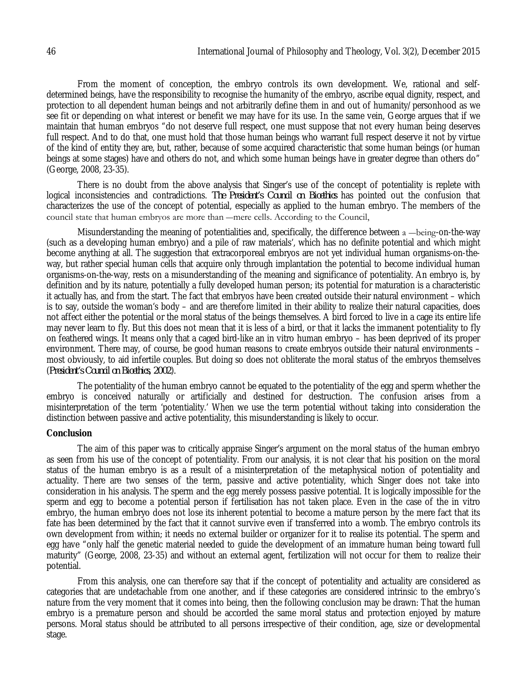From the moment of conception, the embryo controls its own development. We, rational and selfdetermined beings, have the responsibility to recognise the humanity of the embryo, ascribe equal dignity, respect, and protection to all dependent human beings and not arbitrarily define them in and out of humanity/personhood as we see fit or depending on what interest or benefit we may have for its use. In the same vein, George argues that if we maintain that human embryos "do not deserve full respect, one must suppose that not every human being deserves full respect. And to do that, one must hold that those human beings who warrant full respect deserve it not by virtue of the kind of entity they are, but, rather, because of some acquired characteristic that some human beings (or human beings at some stages) have and others do not, and which some human beings have in greater degree than others do" (George, 2008, 23-35).

There is no doubt from the above analysis that Singer's use of the concept of potentiality is replete with logical inconsistencies and contradictions. *The President's Council on Bioethics* has pointed out the confusion that characterizes the use of the concept of potential, especially as applied to the human embryo. The members of the council state that human embryos are more than ―mere cells. According to the Council,

Misunderstanding the meaning of potentialities and, specifically, the difference between a —being-on-the-way (such as a developing human embryo) and a pile of raw materials', which has no definite potential and which might become anything at all. The suggestion that extracorporeal embryos are not yet individual human organisms-on-theway, but rather special human cells that acquire only through implantation the potential to become individual human organisms-on-the-way, rests on a misunderstanding of the meaning and significance of potentiality. An embryo is, by definition and by its nature, potentially a fully developed human person; its potential for maturation is a characteristic it actually has, and from the start. The fact that embryos have been created outside their natural environment – which is to say, outside the woman's body – and are therefore limited in their ability to realize their natural capacities, does not affect either the potential or the moral status of the beings themselves. A bird forced to live in a cage its entire life may never learn to fly. But this does not mean that it is less of a bird, or that it lacks the immanent potentiality to fly on feathered wings. It means only that a caged bird-like an in vitro human embryo – has been deprived of its proper environment. There may, of course, be good human reasons to create embryos outside their natural environments – most obviously, to aid infertile couples. But doing so does not obliterate the moral status of the embryos themselves (*President's Council on Bioethics, 2002*).

The potentiality of the human embryo cannot be equated to the potentiality of the egg and sperm whether the embryo is conceived naturally or artificially and destined for destruction. The confusion arises from a misinterpretation of the term 'potentiality.' When we use the term potential without taking into consideration the distinction between passive and active potentiality, this misunderstanding is likely to occur.

## **Conclusion**

The aim of this paper was to critically appraise Singer's argument on the moral status of the human embryo as seen from his use of the concept of potentiality. From our analysis, it is not clear that his position on the moral status of the human embryo is as a result of a misinterpretation of the metaphysical notion of potentiality and actuality. There are two senses of the term, passive and active potentiality, which Singer does not take into consideration in his analysis. The sperm and the egg merely possess passive potential. It is logically impossible for the sperm and egg to become a potential person if fertilisation has not taken place. Even in the case of the in vitro embryo, the human embryo does not lose its inherent potential to become a mature person by the mere fact that its fate has been determined by the fact that it cannot survive even if transferred into a womb. The embryo controls its own development from within; it needs no external builder or organizer for it to realise its potential. The sperm and egg have "only half the genetic material needed to guide the development of an immature human being toward full maturity" (George, 2008, 23-35) and without an external agent, fertilization will not occur for them to realize their potential.

From this analysis, one can therefore say that if the concept of potentiality and actuality are considered as categories that are undetachable from one another, and if these categories are considered intrinsic to the embryo's nature from the very moment that it comes into being, then the following conclusion may be drawn: That the human embryo is a premature person and should be accorded the same moral status and protection enjoyed by mature persons. Moral status should be attributed to all persons irrespective of their condition, age, size or developmental stage.